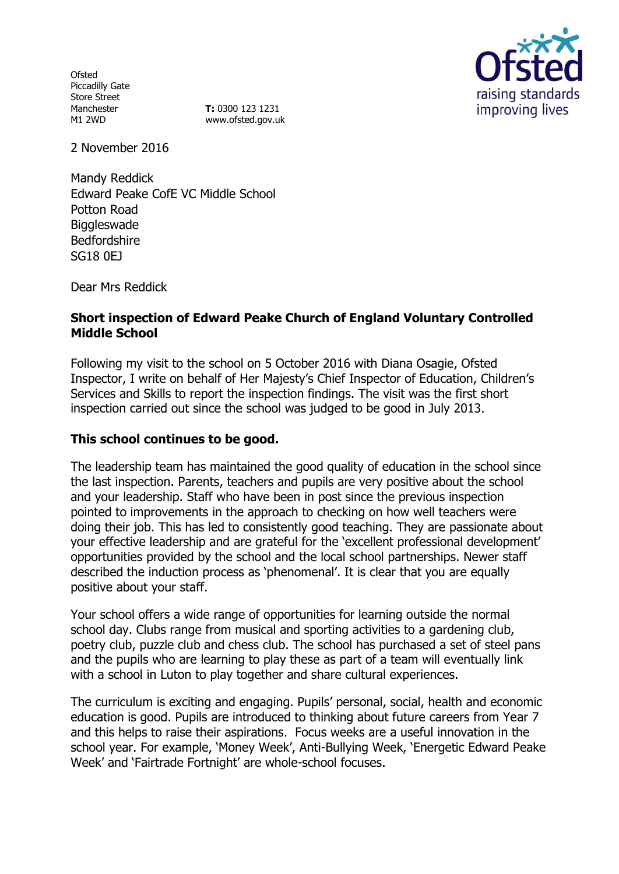Ofsted Piccadilly Gate Store Street Manchester M1 2WD

**T:** 0300 123 1231 www.ofsted.gov.uk



2 November 2016

Mandy Reddick Edward Peake CofE VC Middle School Potton Road **Biggleswade** Bedfordshire SG18 0EJ

Dear Mrs Reddick

# **Short inspection of Edward Peake Church of England Voluntary Controlled Middle School**

Following my visit to the school on 5 October 2016 with Diana Osagie, Ofsted Inspector, I write on behalf of Her Majesty's Chief Inspector of Education, Children's Services and Skills to report the inspection findings. The visit was the first short inspection carried out since the school was judged to be good in July 2013.

## **This school continues to be good.**

The leadership team has maintained the good quality of education in the school since the last inspection. Parents, teachers and pupils are very positive about the school and your leadership. Staff who have been in post since the previous inspection pointed to improvements in the approach to checking on how well teachers were doing their job. This has led to consistently good teaching. They are passionate about your effective leadership and are grateful for the 'excellent professional development' opportunities provided by the school and the local school partnerships. Newer staff described the induction process as 'phenomenal'. It is clear that you are equally positive about your staff.

Your school offers a wide range of opportunities for learning outside the normal school day. Clubs range from musical and sporting activities to a gardening club, poetry club, puzzle club and chess club. The school has purchased a set of steel pans and the pupils who are learning to play these as part of a team will eventually link with a school in Luton to play together and share cultural experiences.

The curriculum is exciting and engaging. Pupils' personal, social, health and economic education is good. Pupils are introduced to thinking about future careers from Year 7 and this helps to raise their aspirations. Focus weeks are a useful innovation in the school year. For example, 'Money Week', Anti-Bullying Week, 'Energetic Edward Peake Week' and 'Fairtrade Fortnight' are whole-school focuses.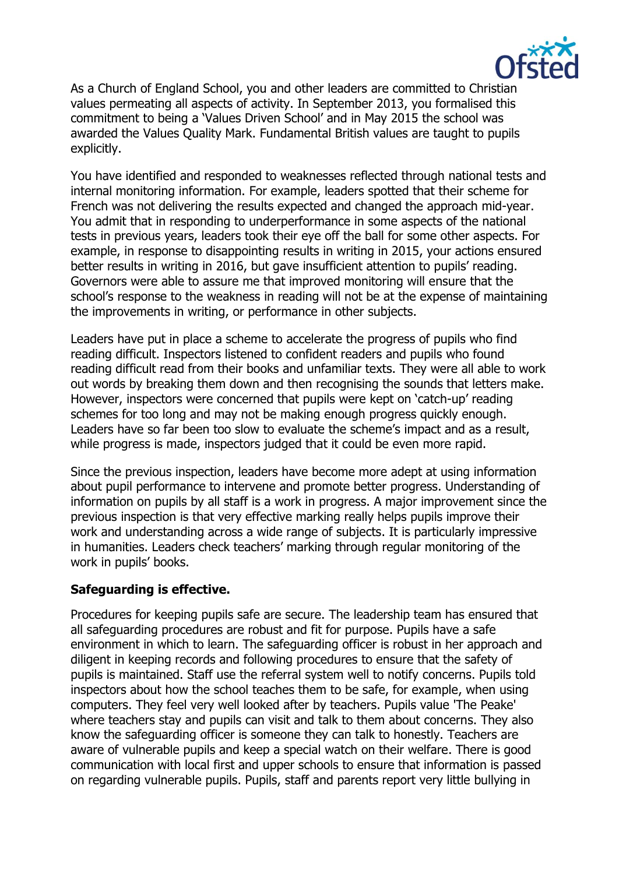

As a Church of England School, you and other leaders are committed to Christian values permeating all aspects of activity. In September 2013, you formalised this commitment to being a 'Values Driven School' and in May 2015 the school was awarded the Values Quality Mark. Fundamental British values are taught to pupils explicitly.

You have identified and responded to weaknesses reflected through national tests and internal monitoring information. For example, leaders spotted that their scheme for French was not delivering the results expected and changed the approach mid-year. You admit that in responding to underperformance in some aspects of the national tests in previous years, leaders took their eye off the ball for some other aspects. For example, in response to disappointing results in writing in 2015, your actions ensured better results in writing in 2016, but gave insufficient attention to pupils' reading. Governors were able to assure me that improved monitoring will ensure that the school's response to the weakness in reading will not be at the expense of maintaining the improvements in writing, or performance in other subjects.

Leaders have put in place a scheme to accelerate the progress of pupils who find reading difficult. Inspectors listened to confident readers and pupils who found reading difficult read from their books and unfamiliar texts. They were all able to work out words by breaking them down and then recognising the sounds that letters make. However, inspectors were concerned that pupils were kept on 'catch-up' reading schemes for too long and may not be making enough progress quickly enough. Leaders have so far been too slow to evaluate the scheme's impact and as a result, while progress is made, inspectors judged that it could be even more rapid.

Since the previous inspection, leaders have become more adept at using information about pupil performance to intervene and promote better progress. Understanding of information on pupils by all staff is a work in progress. A major improvement since the previous inspection is that very effective marking really helps pupils improve their work and understanding across a wide range of subjects. It is particularly impressive in humanities. Leaders check teachers' marking through regular monitoring of the work in pupils' books.

## **Safeguarding is effective.**

Procedures for keeping pupils safe are secure. The leadership team has ensured that all safeguarding procedures are robust and fit for purpose. Pupils have a safe environment in which to learn. The safeguarding officer is robust in her approach and diligent in keeping records and following procedures to ensure that the safety of pupils is maintained. Staff use the referral system well to notify concerns. Pupils told inspectors about how the school teaches them to be safe, for example, when using computers. They feel very well looked after by teachers. Pupils value 'The Peake' where teachers stay and pupils can visit and talk to them about concerns. They also know the safeguarding officer is someone they can talk to honestly. Teachers are aware of vulnerable pupils and keep a special watch on their welfare. There is good communication with local first and upper schools to ensure that information is passed on regarding vulnerable pupils. Pupils, staff and parents report very little bullying in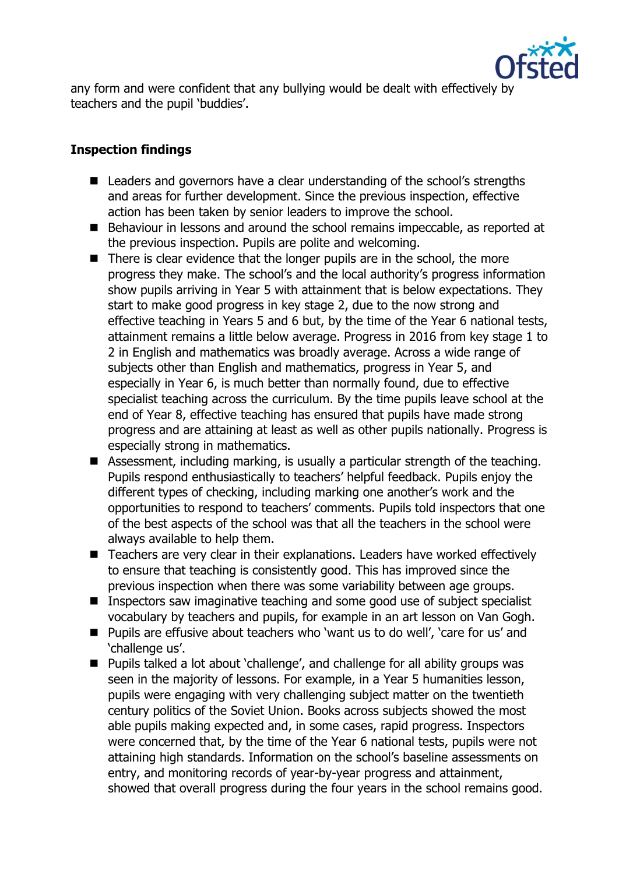

any form and were confident that any bullying would be dealt with effectively by teachers and the pupil 'buddies'.

# **Inspection findings**

- Leaders and governors have a clear understanding of the school's strengths and areas for further development. Since the previous inspection, effective action has been taken by senior leaders to improve the school.
- Behaviour in lessons and around the school remains impeccable, as reported at the previous inspection. Pupils are polite and welcoming.
- There is clear evidence that the longer pupils are in the school, the more progress they make. The school's and the local authority's progress information show pupils arriving in Year 5 with attainment that is below expectations. They start to make good progress in key stage 2, due to the now strong and effective teaching in Years 5 and 6 but, by the time of the Year 6 national tests, attainment remains a little below average. Progress in 2016 from key stage 1 to 2 in English and mathematics was broadly average. Across a wide range of subjects other than English and mathematics, progress in Year 5, and especially in Year 6, is much better than normally found, due to effective specialist teaching across the curriculum. By the time pupils leave school at the end of Year 8, effective teaching has ensured that pupils have made strong progress and are attaining at least as well as other pupils nationally. Progress is especially strong in mathematics.
- Assessment, including marking, is usually a particular strength of the teaching. Pupils respond enthusiastically to teachers' helpful feedback. Pupils enjoy the different types of checking, including marking one another's work and the opportunities to respond to teachers' comments. Pupils told inspectors that one of the best aspects of the school was that all the teachers in the school were always available to help them.
- Teachers are very clear in their explanations. Leaders have worked effectively to ensure that teaching is consistently good. This has improved since the previous inspection when there was some variability between age groups.
- **Inspectors saw imaginative teaching and some good use of subject specialist** vocabulary by teachers and pupils, for example in an art lesson on Van Gogh.
- Pupils are effusive about teachers who 'want us to do well', 'care for us' and 'challenge us'.
- Pupils talked a lot about 'challenge', and challenge for all ability groups was seen in the majority of lessons. For example, in a Year 5 humanities lesson, pupils were engaging with very challenging subject matter on the twentieth century politics of the Soviet Union. Books across subjects showed the most able pupils making expected and, in some cases, rapid progress. Inspectors were concerned that, by the time of the Year 6 national tests, pupils were not attaining high standards. Information on the school's baseline assessments on entry, and monitoring records of year-by-year progress and attainment, showed that overall progress during the four years in the school remains good.